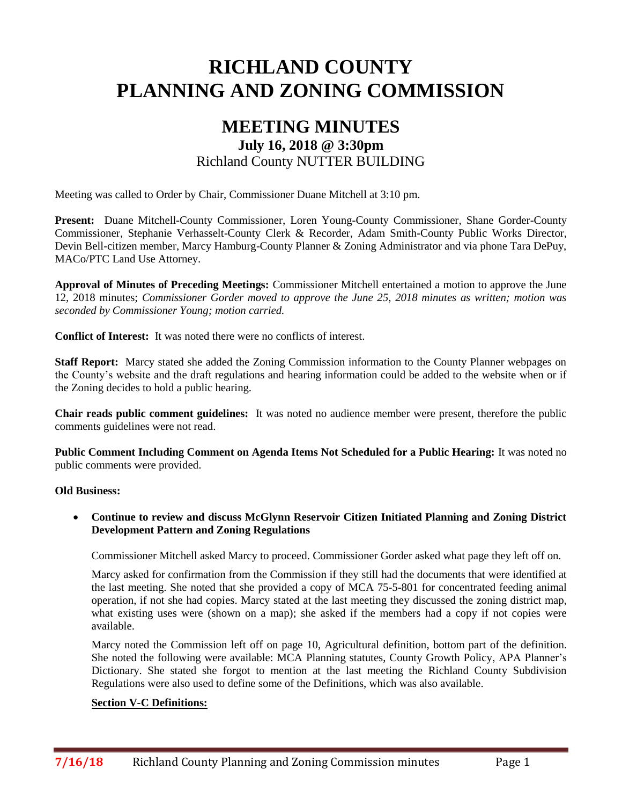# **RICHLAND COUNTY PLANNING AND ZONING COMMISSION**

# **MEETING MINUTES July 16, 2018 @ 3:30pm** Richland County NUTTER BUILDING

Meeting was called to Order by Chair, Commissioner Duane Mitchell at 3:10 pm.

**Present:** Duane Mitchell-County Commissioner, Loren Young-County Commissioner, Shane Gorder-County Commissioner, Stephanie Verhasselt-County Clerk & Recorder, Adam Smith-County Public Works Director, Devin Bell-citizen member, Marcy Hamburg-County Planner & Zoning Administrator and via phone Tara DePuy, MACo/PTC Land Use Attorney.

**Approval of Minutes of Preceding Meetings:** Commissioner Mitchell entertained a motion to approve the June 12, 2018 minutes; *Commissioner Gorder moved to approve the June 25, 2018 minutes as written; motion was seconded by Commissioner Young; motion carried.*

**Conflict of Interest:** It was noted there were no conflicts of interest.

**Staff Report:** Marcy stated she added the Zoning Commission information to the County Planner webpages on the County's website and the draft regulations and hearing information could be added to the website when or if the Zoning decides to hold a public hearing.

**Chair reads public comment guidelines:** It was noted no audience member were present, therefore the public comments guidelines were not read.

**Public Comment Including Comment on Agenda Items Not Scheduled for a Public Hearing:** It was noted no public comments were provided.

#### **Old Business:**

 **Continue to review and discuss McGlynn Reservoir Citizen Initiated Planning and Zoning District Development Pattern and Zoning Regulations**

Commissioner Mitchell asked Marcy to proceed. Commissioner Gorder asked what page they left off on.

Marcy asked for confirmation from the Commission if they still had the documents that were identified at the last meeting. She noted that she provided a copy of MCA 75-5-801 for concentrated feeding animal operation, if not she had copies. Marcy stated at the last meeting they discussed the zoning district map, what existing uses were (shown on a map); she asked if the members had a copy if not copies were available.

Marcy noted the Commission left off on page 10, Agricultural definition, bottom part of the definition. She noted the following were available: MCA Planning statutes, County Growth Policy, APA Planner's Dictionary. She stated she forgot to mention at the last meeting the Richland County Subdivision Regulations were also used to define some of the Definitions, which was also available.

#### **Section V-C Definitions:**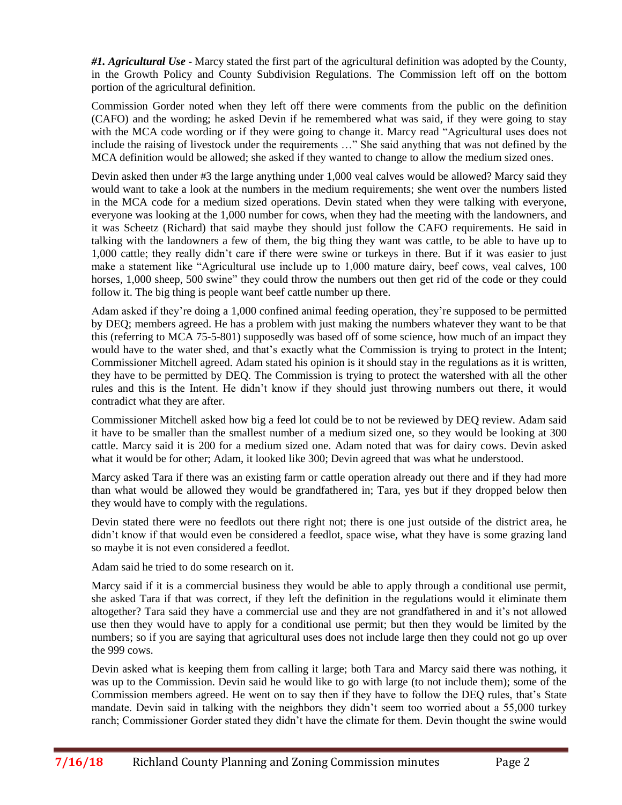*#1. Agricultural Use* - Marcy stated the first part of the agricultural definition was adopted by the County, in the Growth Policy and County Subdivision Regulations. The Commission left off on the bottom portion of the agricultural definition.

Commission Gorder noted when they left off there were comments from the public on the definition (CAFO) and the wording; he asked Devin if he remembered what was said, if they were going to stay with the MCA code wording or if they were going to change it. Marcy read "Agricultural uses does not include the raising of livestock under the requirements …" She said anything that was not defined by the MCA definition would be allowed; she asked if they wanted to change to allow the medium sized ones.

Devin asked then under #3 the large anything under 1,000 veal calves would be allowed? Marcy said they would want to take a look at the numbers in the medium requirements; she went over the numbers listed in the MCA code for a medium sized operations. Devin stated when they were talking with everyone, everyone was looking at the 1,000 number for cows, when they had the meeting with the landowners, and it was Scheetz (Richard) that said maybe they should just follow the CAFO requirements. He said in talking with the landowners a few of them, the big thing they want was cattle, to be able to have up to 1,000 cattle; they really didn't care if there were swine or turkeys in there. But if it was easier to just make a statement like "Agricultural use include up to 1,000 mature dairy, beef cows, veal calves, 100 horses, 1,000 sheep, 500 swine" they could throw the numbers out then get rid of the code or they could follow it. The big thing is people want beef cattle number up there.

Adam asked if they're doing a 1,000 confined animal feeding operation, they're supposed to be permitted by DEQ; members agreed. He has a problem with just making the numbers whatever they want to be that this (referring to MCA 75-5-801) supposedly was based off of some science, how much of an impact they would have to the water shed, and that's exactly what the Commission is trying to protect in the Intent; Commissioner Mitchell agreed. Adam stated his opinion is it should stay in the regulations as it is written, they have to be permitted by DEQ. The Commission is trying to protect the watershed with all the other rules and this is the Intent. He didn't know if they should just throwing numbers out there, it would contradict what they are after.

Commissioner Mitchell asked how big a feed lot could be to not be reviewed by DEQ review. Adam said it have to be smaller than the smallest number of a medium sized one, so they would be looking at 300 cattle. Marcy said it is 200 for a medium sized one. Adam noted that was for dairy cows. Devin asked what it would be for other; Adam, it looked like 300; Devin agreed that was what he understood.

Marcy asked Tara if there was an existing farm or cattle operation already out there and if they had more than what would be allowed they would be grandfathered in; Tara, yes but if they dropped below then they would have to comply with the regulations.

Devin stated there were no feedlots out there right not; there is one just outside of the district area, he didn't know if that would even be considered a feedlot, space wise, what they have is some grazing land so maybe it is not even considered a feedlot.

Adam said he tried to do some research on it.

Marcy said if it is a commercial business they would be able to apply through a conditional use permit, she asked Tara if that was correct, if they left the definition in the regulations would it eliminate them altogether? Tara said they have a commercial use and they are not grandfathered in and it's not allowed use then they would have to apply for a conditional use permit; but then they would be limited by the numbers; so if you are saying that agricultural uses does not include large then they could not go up over the 999 cows.

Devin asked what is keeping them from calling it large; both Tara and Marcy said there was nothing, it was up to the Commission. Devin said he would like to go with large (to not include them); some of the Commission members agreed. He went on to say then if they have to follow the DEQ rules, that's State mandate. Devin said in talking with the neighbors they didn't seem too worried about a 55,000 turkey ranch; Commissioner Gorder stated they didn't have the climate for them. Devin thought the swine would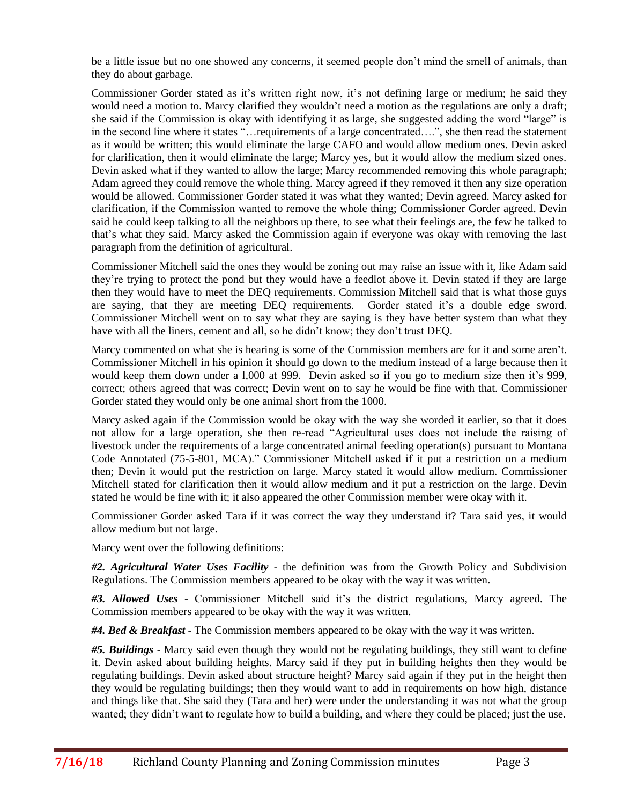be a little issue but no one showed any concerns, it seemed people don't mind the smell of animals, than they do about garbage.

Commissioner Gorder stated as it's written right now, it's not defining large or medium; he said they would need a motion to. Marcy clarified they wouldn't need a motion as the regulations are only a draft; she said if the Commission is okay with identifying it as large, she suggested adding the word "large" is in the second line where it states "…requirements of a large concentrated….", she then read the statement as it would be written; this would eliminate the large CAFO and would allow medium ones. Devin asked for clarification, then it would eliminate the large; Marcy yes, but it would allow the medium sized ones. Devin asked what if they wanted to allow the large; Marcy recommended removing this whole paragraph; Adam agreed they could remove the whole thing. Marcy agreed if they removed it then any size operation would be allowed. Commissioner Gorder stated it was what they wanted; Devin agreed. Marcy asked for clarification, if the Commission wanted to remove the whole thing; Commissioner Gorder agreed. Devin said he could keep talking to all the neighbors up there, to see what their feelings are, the few he talked to that's what they said. Marcy asked the Commission again if everyone was okay with removing the last paragraph from the definition of agricultural.

Commissioner Mitchell said the ones they would be zoning out may raise an issue with it, like Adam said they're trying to protect the pond but they would have a feedlot above it. Devin stated if they are large then they would have to meet the DEQ requirements. Commission Mitchell said that is what those guys are saying, that they are meeting DEQ requirements. Gorder stated it's a double edge sword. Commissioner Mitchell went on to say what they are saying is they have better system than what they have with all the liners, cement and all, so he didn't know; they don't trust DEQ.

Marcy commented on what she is hearing is some of the Commission members are for it and some aren't. Commissioner Mitchell in his opinion it should go down to the medium instead of a large because then it would keep them down under a l,000 at 999. Devin asked so if you go to medium size then it's 999, correct; others agreed that was correct; Devin went on to say he would be fine with that. Commissioner Gorder stated they would only be one animal short from the 1000.

Marcy asked again if the Commission would be okay with the way she worded it earlier, so that it does not allow for a large operation, she then re-read "Agricultural uses does not include the raising of livestock under the requirements of a large concentrated animal feeding operation(s) pursuant to Montana Code Annotated (75-5-801, MCA)." Commissioner Mitchell asked if it put a restriction on a medium then; Devin it would put the restriction on large. Marcy stated it would allow medium. Commissioner Mitchell stated for clarification then it would allow medium and it put a restriction on the large. Devin stated he would be fine with it; it also appeared the other Commission member were okay with it.

Commissioner Gorder asked Tara if it was correct the way they understand it? Tara said yes, it would allow medium but not large.

Marcy went over the following definitions:

*#2. Agricultural Water Uses Facility* - the definition was from the Growth Policy and Subdivision Regulations. The Commission members appeared to be okay with the way it was written.

*#3. Allowed Uses* - Commissioner Mitchell said it's the district regulations, Marcy agreed. The Commission members appeared to be okay with the way it was written.

*#4. Bed & Breakfast* - The Commission members appeared to be okay with the way it was written.

*#5. Buildings* - Marcy said even though they would not be regulating buildings, they still want to define it. Devin asked about building heights. Marcy said if they put in building heights then they would be regulating buildings. Devin asked about structure height? Marcy said again if they put in the height then they would be regulating buildings; then they would want to add in requirements on how high, distance and things like that. She said they (Tara and her) were under the understanding it was not what the group wanted; they didn't want to regulate how to build a building, and where they could be placed; just the use.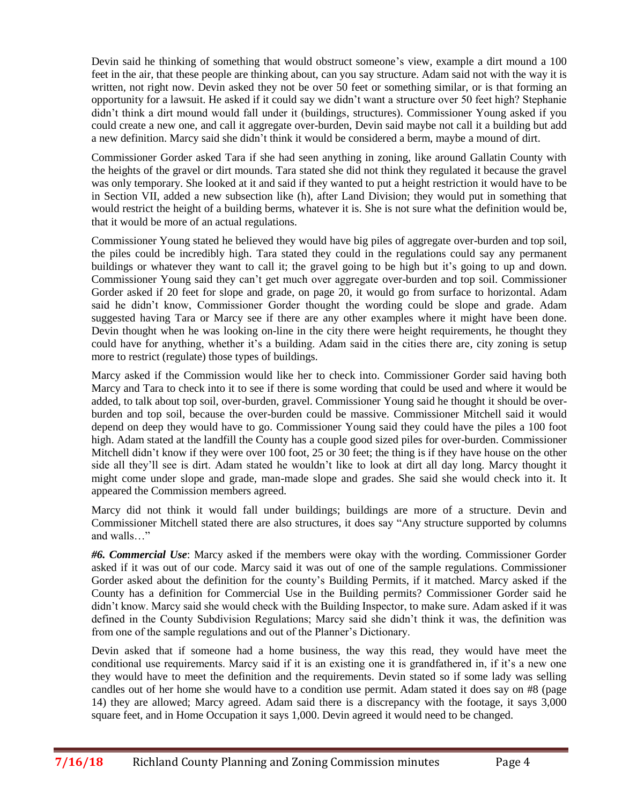Devin said he thinking of something that would obstruct someone's view, example a dirt mound a 100 feet in the air, that these people are thinking about, can you say structure. Adam said not with the way it is written, not right now. Devin asked they not be over 50 feet or something similar, or is that forming an opportunity for a lawsuit. He asked if it could say we didn't want a structure over 50 feet high? Stephanie didn't think a dirt mound would fall under it (buildings, structures). Commissioner Young asked if you could create a new one, and call it aggregate over-burden, Devin said maybe not call it a building but add a new definition. Marcy said she didn't think it would be considered a berm, maybe a mound of dirt.

Commissioner Gorder asked Tara if she had seen anything in zoning, like around Gallatin County with the heights of the gravel or dirt mounds. Tara stated she did not think they regulated it because the gravel was only temporary. She looked at it and said if they wanted to put a height restriction it would have to be in Section VII, added a new subsection like (h), after Land Division; they would put in something that would restrict the height of a building berms, whatever it is. She is not sure what the definition would be, that it would be more of an actual regulations.

Commissioner Young stated he believed they would have big piles of aggregate over-burden and top soil, the piles could be incredibly high. Tara stated they could in the regulations could say any permanent buildings or whatever they want to call it; the gravel going to be high but it's going to up and down. Commissioner Young said they can't get much over aggregate over-burden and top soil. Commissioner Gorder asked if 20 feet for slope and grade, on page 20, it would go from surface to horizontal. Adam said he didn't know, Commissioner Gorder thought the wording could be slope and grade. Adam suggested having Tara or Marcy see if there are any other examples where it might have been done. Devin thought when he was looking on-line in the city there were height requirements, he thought they could have for anything, whether it's a building. Adam said in the cities there are, city zoning is setup more to restrict (regulate) those types of buildings.

Marcy asked if the Commission would like her to check into. Commissioner Gorder said having both Marcy and Tara to check into it to see if there is some wording that could be used and where it would be added, to talk about top soil, over-burden, gravel. Commissioner Young said he thought it should be overburden and top soil, because the over-burden could be massive. Commissioner Mitchell said it would depend on deep they would have to go. Commissioner Young said they could have the piles a 100 foot high. Adam stated at the landfill the County has a couple good sized piles for over-burden. Commissioner Mitchell didn't know if they were over 100 foot, 25 or 30 feet; the thing is if they have house on the other side all they'll see is dirt. Adam stated he wouldn't like to look at dirt all day long. Marcy thought it might come under slope and grade, man-made slope and grades. She said she would check into it. It appeared the Commission members agreed.

Marcy did not think it would fall under buildings; buildings are more of a structure. Devin and Commissioner Mitchell stated there are also structures, it does say "Any structure supported by columns and walls…"

*#6. Commercial Use*: Marcy asked if the members were okay with the wording. Commissioner Gorder asked if it was out of our code. Marcy said it was out of one of the sample regulations. Commissioner Gorder asked about the definition for the county's Building Permits, if it matched. Marcy asked if the County has a definition for Commercial Use in the Building permits? Commissioner Gorder said he didn't know. Marcy said she would check with the Building Inspector, to make sure. Adam asked if it was defined in the County Subdivision Regulations; Marcy said she didn't think it was, the definition was from one of the sample regulations and out of the Planner's Dictionary.

Devin asked that if someone had a home business, the way this read, they would have meet the conditional use requirements. Marcy said if it is an existing one it is grandfathered in, if it's a new one they would have to meet the definition and the requirements. Devin stated so if some lady was selling candles out of her home she would have to a condition use permit. Adam stated it does say on #8 (page 14) they are allowed; Marcy agreed. Adam said there is a discrepancy with the footage, it says 3,000 square feet, and in Home Occupation it says 1,000. Devin agreed it would need to be changed.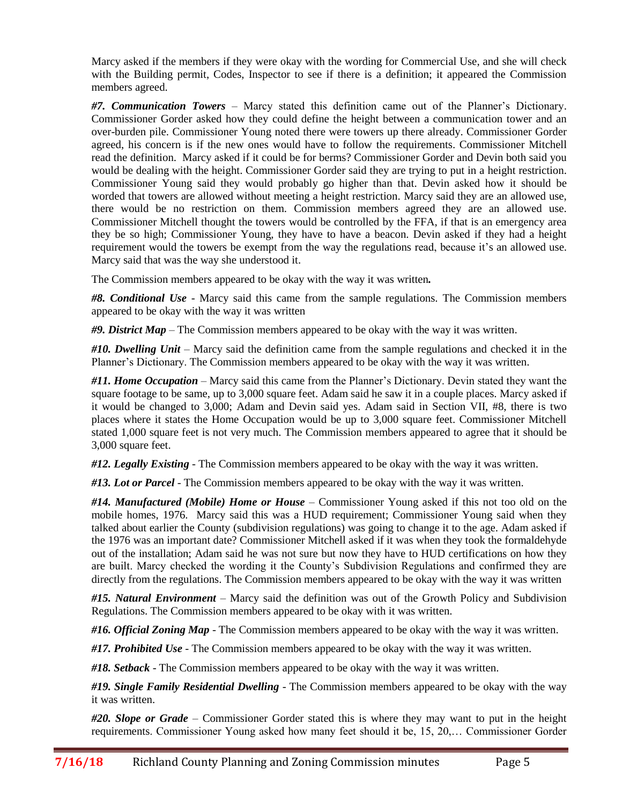Marcy asked if the members if they were okay with the wording for Commercial Use, and she will check with the Building permit, Codes, Inspector to see if there is a definition; it appeared the Commission members agreed.

*#7. Communication Towers* – Marcy stated this definition came out of the Planner's Dictionary. Commissioner Gorder asked how they could define the height between a communication tower and an over-burden pile. Commissioner Young noted there were towers up there already. Commissioner Gorder agreed, his concern is if the new ones would have to follow the requirements. Commissioner Mitchell read the definition. Marcy asked if it could be for berms? Commissioner Gorder and Devin both said you would be dealing with the height. Commissioner Gorder said they are trying to put in a height restriction. Commissioner Young said they would probably go higher than that. Devin asked how it should be worded that towers are allowed without meeting a height restriction. Marcy said they are an allowed use, there would be no restriction on them. Commission members agreed they are an allowed use. Commissioner Mitchell thought the towers would be controlled by the FFA, if that is an emergency area they be so high; Commissioner Young, they have to have a beacon. Devin asked if they had a height requirement would the towers be exempt from the way the regulations read, because it's an allowed use. Marcy said that was the way she understood it.

The Commission members appeared to be okay with the way it was written*.*

*#8. Conditional Use* - Marcy said this came from the sample regulations. The Commission members appeared to be okay with the way it was written

*#9. District Map* – The Commission members appeared to be okay with the way it was written.

*#10. Dwelling Unit* – Marcy said the definition came from the sample regulations and checked it in the Planner's Dictionary. The Commission members appeared to be okay with the way it was written.

*#11. Home Occupation* – Marcy said this came from the Planner's Dictionary. Devin stated they want the square footage to be same, up to 3,000 square feet. Adam said he saw it in a couple places. Marcy asked if it would be changed to 3,000; Adam and Devin said yes. Adam said in Section VII, #8, there is two places where it states the Home Occupation would be up to 3,000 square feet. Commissioner Mitchell stated 1,000 square feet is not very much. The Commission members appeared to agree that it should be 3,000 square feet.

*#12. Legally Existing* - The Commission members appeared to be okay with the way it was written.

*#13. Lot or Parcel* - The Commission members appeared to be okay with the way it was written.

*#14. Manufactured (Mobile) Home or House* – Commissioner Young asked if this not too old on the mobile homes, 1976. Marcy said this was a HUD requirement; Commissioner Young said when they talked about earlier the County (subdivision regulations) was going to change it to the age. Adam asked if the 1976 was an important date? Commissioner Mitchell asked if it was when they took the formaldehyde out of the installation; Adam said he was not sure but now they have to HUD certifications on how they are built. Marcy checked the wording it the County's Subdivision Regulations and confirmed they are directly from the regulations. The Commission members appeared to be okay with the way it was written

*#15. Natural Environment* – Marcy said the definition was out of the Growth Policy and Subdivision Regulations. The Commission members appeared to be okay with it was written.

*#16. Official Zoning Map* - The Commission members appeared to be okay with the way it was written.

*#17. Prohibited Use* - The Commission members appeared to be okay with the way it was written.

*#18. Setback* - The Commission members appeared to be okay with the way it was written.

*#19. Single Family Residential Dwelling* - The Commission members appeared to be okay with the way it was written.

*#20. Slope or Grade* – Commissioner Gorder stated this is where they may want to put in the height requirements. Commissioner Young asked how many feet should it be, 15, 20,… Commissioner Gorder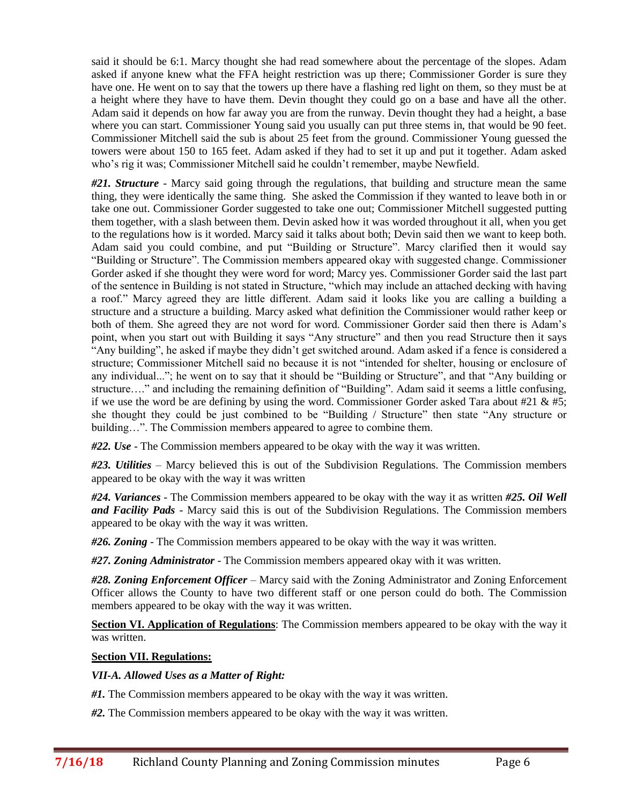said it should be 6:1. Marcy thought she had read somewhere about the percentage of the slopes. Adam asked if anyone knew what the FFA height restriction was up there; Commissioner Gorder is sure they have one. He went on to say that the towers up there have a flashing red light on them, so they must be at a height where they have to have them. Devin thought they could go on a base and have all the other. Adam said it depends on how far away you are from the runway. Devin thought they had a height, a base where you can start. Commissioner Young said you usually can put three stems in, that would be 90 feet. Commissioner Mitchell said the sub is about 25 feet from the ground. Commissioner Young guessed the towers were about 150 to 165 feet. Adam asked if they had to set it up and put it together. Adam asked who's rig it was; Commissioner Mitchell said he couldn't remember, maybe Newfield.

*#21. Structure* - Marcy said going through the regulations, that building and structure mean the same thing, they were identically the same thing. She asked the Commission if they wanted to leave both in or take one out. Commissioner Gorder suggested to take one out; Commissioner Mitchell suggested putting them together, with a slash between them. Devin asked how it was worded throughout it all, when you get to the regulations how is it worded. Marcy said it talks about both; Devin said then we want to keep both. Adam said you could combine, and put "Building or Structure". Marcy clarified then it would say "Building or Structure". The Commission members appeared okay with suggested change. Commissioner Gorder asked if she thought they were word for word; Marcy yes. Commissioner Gorder said the last part of the sentence in Building is not stated in Structure, "which may include an attached decking with having a roof." Marcy agreed they are little different. Adam said it looks like you are calling a building a structure and a structure a building. Marcy asked what definition the Commissioner would rather keep or both of them. She agreed they are not word for word. Commissioner Gorder said then there is Adam's point, when you start out with Building it says "Any structure" and then you read Structure then it says "Any building", he asked if maybe they didn't get switched around. Adam asked if a fence is considered a structure; Commissioner Mitchell said no because it is not "intended for shelter, housing or enclosure of any individual..."; he went on to say that it should be "Building or Structure", and that "Any building or structure…." and including the remaining definition of "Building". Adam said it seems a little confusing, if we use the word be are defining by using the word. Commissioner Gorder asked Tara about #21  $\&$  #5; she thought they could be just combined to be "Building / Structure" then state "Any structure or building…". The Commission members appeared to agree to combine them.

*#22. Use* - The Commission members appeared to be okay with the way it was written.

*#23. Utilities* – Marcy believed this is out of the Subdivision Regulations. The Commission members appeared to be okay with the way it was written

*#24. Variances* - The Commission members appeared to be okay with the way it as written *#25. Oil Well and Facility Pads* - Marcy said this is out of the Subdivision Regulations. The Commission members appeared to be okay with the way it was written.

*#26. Zoning* - The Commission members appeared to be okay with the way it was written.

*#27. Zoning Administrator* - The Commission members appeared okay with it was written.

*#28. Zoning Enforcement Officer* – Marcy said with the Zoning Administrator and Zoning Enforcement Officer allows the County to have two different staff or one person could do both. The Commission members appeared to be okay with the way it was written.

**Section VI. Application of Regulations**: The Commission members appeared to be okay with the way it was written.

# **Section VII. Regulations:**

# *VII-A. Allowed Uses as a Matter of Right:*

*#1.* The Commission members appeared to be okay with the way it was written.

*#2.* The Commission members appeared to be okay with the way it was written.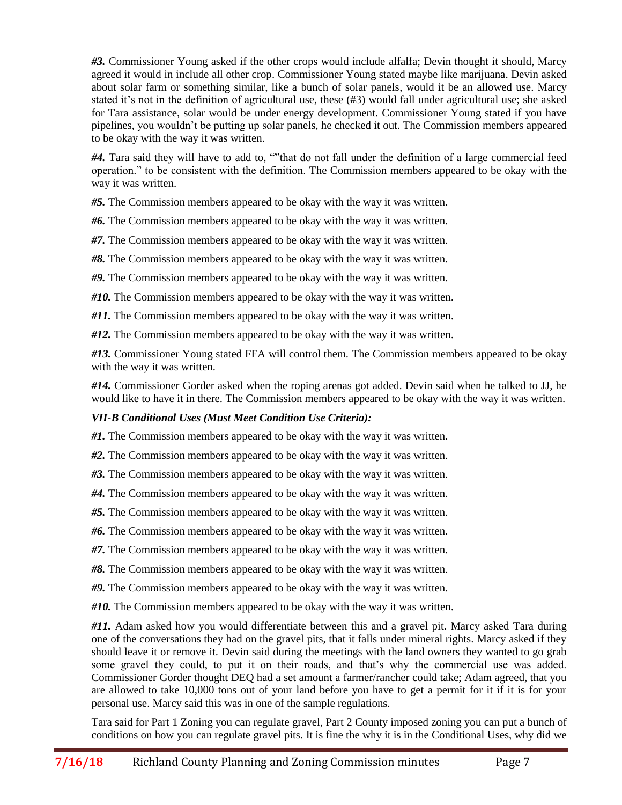*#3.* Commissioner Young asked if the other crops would include alfalfa; Devin thought it should, Marcy agreed it would in include all other crop. Commissioner Young stated maybe like marijuana. Devin asked about solar farm or something similar, like a bunch of solar panels, would it be an allowed use. Marcy stated it's not in the definition of agricultural use, these (#3) would fall under agricultural use; she asked for Tara assistance, solar would be under energy development. Commissioner Young stated if you have pipelines, you wouldn't be putting up solar panels, he checked it out. The Commission members appeared to be okay with the way it was written.

*#4.* Tara said they will have to add to, ""that do not fall under the definition of a large commercial feed operation." to be consistent with the definition. The Commission members appeared to be okay with the way it was written.

*#5.* The Commission members appeared to be okay with the way it was written.

*#6.* The Commission members appeared to be okay with the way it was written.

*#7.* The Commission members appeared to be okay with the way it was written.

*#8.* The Commission members appeared to be okay with the way it was written.

*#9.* The Commission members appeared to be okay with the way it was written.

*#10.* The Commission members appeared to be okay with the way it was written.

*#11.* The Commission members appeared to be okay with the way it was written.

*#12.* The Commission members appeared to be okay with the way it was written.

*#13.* Commissioner Young stated FFA will control them. The Commission members appeared to be okay with the way it was written.

*#14.* Commissioner Gorder asked when the roping arenas got added. Devin said when he talked to JJ, he would like to have it in there. The Commission members appeared to be okay with the way it was written.

# *VII-B Conditional Uses (Must Meet Condition Use Criteria):*

*#1.* The Commission members appeared to be okay with the way it was written.

*#2.* The Commission members appeared to be okay with the way it was written.

*#3.* The Commission members appeared to be okay with the way it was written.

*#4.* The Commission members appeared to be okay with the way it was written.

*#5.* The Commission members appeared to be okay with the way it was written.

*#6.* The Commission members appeared to be okay with the way it was written.

*#7.* The Commission members appeared to be okay with the way it was written.

*#8.* The Commission members appeared to be okay with the way it was written.

*#9.* The Commission members appeared to be okay with the way it was written.

*#10.* The Commission members appeared to be okay with the way it was written.

*#11.* Adam asked how you would differentiate between this and a gravel pit. Marcy asked Tara during one of the conversations they had on the gravel pits, that it falls under mineral rights. Marcy asked if they should leave it or remove it. Devin said during the meetings with the land owners they wanted to go grab some gravel they could, to put it on their roads, and that's why the commercial use was added. Commissioner Gorder thought DEQ had a set amount a farmer/rancher could take; Adam agreed, that you are allowed to take 10,000 tons out of your land before you have to get a permit for it if it is for your personal use. Marcy said this was in one of the sample regulations.

Tara said for Part 1 Zoning you can regulate gravel, Part 2 County imposed zoning you can put a bunch of conditions on how you can regulate gravel pits. It is fine the why it is in the Conditional Uses, why did we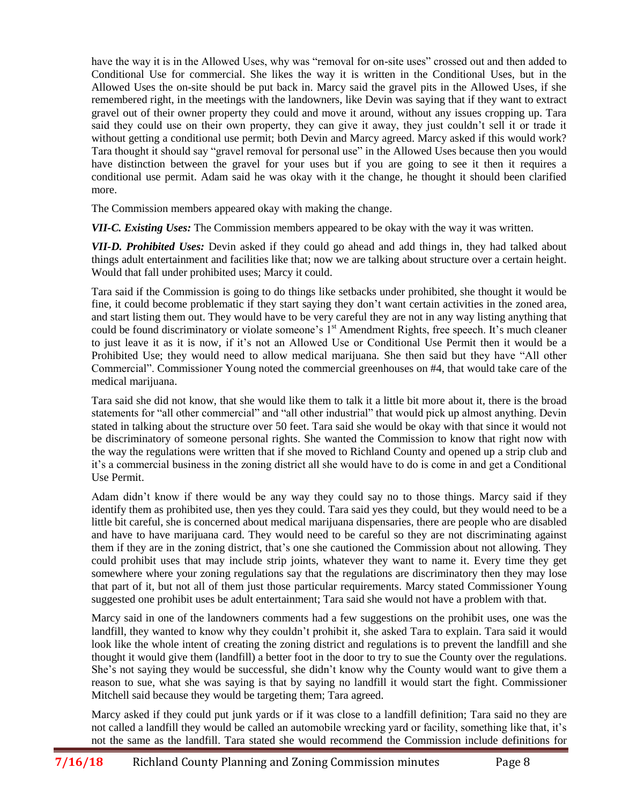have the way it is in the Allowed Uses, why was "removal for on-site uses" crossed out and then added to Conditional Use for commercial. She likes the way it is written in the Conditional Uses, but in the Allowed Uses the on-site should be put back in. Marcy said the gravel pits in the Allowed Uses, if she remembered right, in the meetings with the landowners, like Devin was saying that if they want to extract gravel out of their owner property they could and move it around, without any issues cropping up. Tara said they could use on their own property, they can give it away, they just couldn't sell it or trade it without getting a conditional use permit; both Devin and Marcy agreed. Marcy asked if this would work? Tara thought it should say "gravel removal for personal use" in the Allowed Uses because then you would have distinction between the gravel for your uses but if you are going to see it then it requires a conditional use permit. Adam said he was okay with it the change, he thought it should been clarified more.

The Commission members appeared okay with making the change.

*VII-C. Existing Uses:* The Commission members appeared to be okay with the way it was written.

*VII-D. Prohibited Uses:* Devin asked if they could go ahead and add things in, they had talked about things adult entertainment and facilities like that; now we are talking about structure over a certain height. Would that fall under prohibited uses; Marcy it could.

Tara said if the Commission is going to do things like setbacks under prohibited, she thought it would be fine, it could become problematic if they start saying they don't want certain activities in the zoned area, and start listing them out. They would have to be very careful they are not in any way listing anything that could be found discriminatory or violate someone's 1<sup>st</sup> Amendment Rights, free speech. It's much cleaner to just leave it as it is now, if it's not an Allowed Use or Conditional Use Permit then it would be a Prohibited Use; they would need to allow medical marijuana. She then said but they have "All other Commercial". Commissioner Young noted the commercial greenhouses on #4, that would take care of the medical marijuana.

Tara said she did not know, that she would like them to talk it a little bit more about it, there is the broad statements for "all other commercial" and "all other industrial" that would pick up almost anything. Devin stated in talking about the structure over 50 feet. Tara said she would be okay with that since it would not be discriminatory of someone personal rights. She wanted the Commission to know that right now with the way the regulations were written that if she moved to Richland County and opened up a strip club and it's a commercial business in the zoning district all she would have to do is come in and get a Conditional Use Permit.

Adam didn't know if there would be any way they could say no to those things. Marcy said if they identify them as prohibited use, then yes they could. Tara said yes they could, but they would need to be a little bit careful, she is concerned about medical marijuana dispensaries, there are people who are disabled and have to have marijuana card. They would need to be careful so they are not discriminating against them if they are in the zoning district, that's one she cautioned the Commission about not allowing. They could prohibit uses that may include strip joints, whatever they want to name it. Every time they get somewhere where your zoning regulations say that the regulations are discriminatory then they may lose that part of it, but not all of them just those particular requirements. Marcy stated Commissioner Young suggested one prohibit uses be adult entertainment; Tara said she would not have a problem with that.

Marcy said in one of the landowners comments had a few suggestions on the prohibit uses, one was the landfill, they wanted to know why they couldn't prohibit it, she asked Tara to explain. Tara said it would look like the whole intent of creating the zoning district and regulations is to prevent the landfill and she thought it would give them (landfill) a better foot in the door to try to sue the County over the regulations. She's not saying they would be successful, she didn't know why the County would want to give them a reason to sue, what she was saying is that by saying no landfill it would start the fight. Commissioner Mitchell said because they would be targeting them; Tara agreed.

Marcy asked if they could put junk yards or if it was close to a landfill definition; Tara said no they are not called a landfill they would be called an automobile wrecking yard or facility, something like that, it's not the same as the landfill. Tara stated she would recommend the Commission include definitions for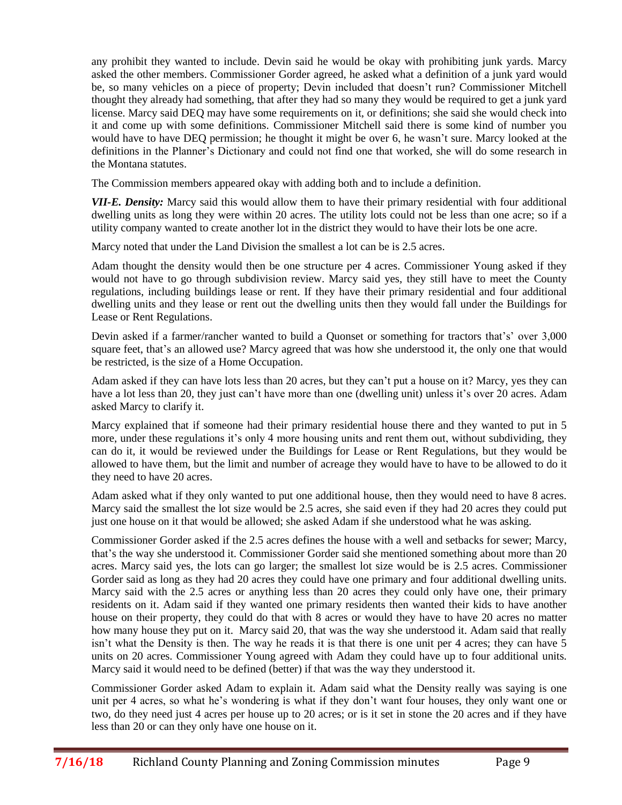any prohibit they wanted to include. Devin said he would be okay with prohibiting junk yards. Marcy asked the other members. Commissioner Gorder agreed, he asked what a definition of a junk yard would be, so many vehicles on a piece of property; Devin included that doesn't run? Commissioner Mitchell thought they already had something, that after they had so many they would be required to get a junk yard license. Marcy said DEQ may have some requirements on it, or definitions; she said she would check into it and come up with some definitions. Commissioner Mitchell said there is some kind of number you would have to have DEQ permission; he thought it might be over 6, he wasn't sure. Marcy looked at the definitions in the Planner's Dictionary and could not find one that worked, she will do some research in the Montana statutes.

The Commission members appeared okay with adding both and to include a definition.

*VII-E. Density:* Marcy said this would allow them to have their primary residential with four additional dwelling units as long they were within 20 acres. The utility lots could not be less than one acre; so if a utility company wanted to create another lot in the district they would to have their lots be one acre.

Marcy noted that under the Land Division the smallest a lot can be is 2.5 acres.

Adam thought the density would then be one structure per 4 acres. Commissioner Young asked if they would not have to go through subdivision review. Marcy said yes, they still have to meet the County regulations, including buildings lease or rent. If they have their primary residential and four additional dwelling units and they lease or rent out the dwelling units then they would fall under the Buildings for Lease or Rent Regulations.

Devin asked if a farmer/rancher wanted to build a Quonset or something for tractors that's' over 3,000 square feet, that's an allowed use? Marcy agreed that was how she understood it, the only one that would be restricted, is the size of a Home Occupation.

Adam asked if they can have lots less than 20 acres, but they can't put a house on it? Marcy, yes they can have a lot less than 20, they just can't have more than one (dwelling unit) unless it's over 20 acres. Adam asked Marcy to clarify it.

Marcy explained that if someone had their primary residential house there and they wanted to put in 5 more, under these regulations it's only 4 more housing units and rent them out, without subdividing, they can do it, it would be reviewed under the Buildings for Lease or Rent Regulations, but they would be allowed to have them, but the limit and number of acreage they would have to have to be allowed to do it they need to have 20 acres.

Adam asked what if they only wanted to put one additional house, then they would need to have 8 acres. Marcy said the smallest the lot size would be 2.5 acres, she said even if they had 20 acres they could put just one house on it that would be allowed; she asked Adam if she understood what he was asking.

Commissioner Gorder asked if the 2.5 acres defines the house with a well and setbacks for sewer; Marcy, that's the way she understood it. Commissioner Gorder said she mentioned something about more than 20 acres. Marcy said yes, the lots can go larger; the smallest lot size would be is 2.5 acres. Commissioner Gorder said as long as they had 20 acres they could have one primary and four additional dwelling units. Marcy said with the 2.5 acres or anything less than 20 acres they could only have one, their primary residents on it. Adam said if they wanted one primary residents then wanted their kids to have another house on their property, they could do that with 8 acres or would they have to have 20 acres no matter how many house they put on it. Marcy said 20, that was the way she understood it. Adam said that really isn't what the Density is then. The way he reads it is that there is one unit per 4 acres; they can have 5 units on 20 acres. Commissioner Young agreed with Adam they could have up to four additional units. Marcy said it would need to be defined (better) if that was the way they understood it.

Commissioner Gorder asked Adam to explain it. Adam said what the Density really was saying is one unit per 4 acres, so what he's wondering is what if they don't want four houses, they only want one or two, do they need just 4 acres per house up to 20 acres; or is it set in stone the 20 acres and if they have less than 20 or can they only have one house on it.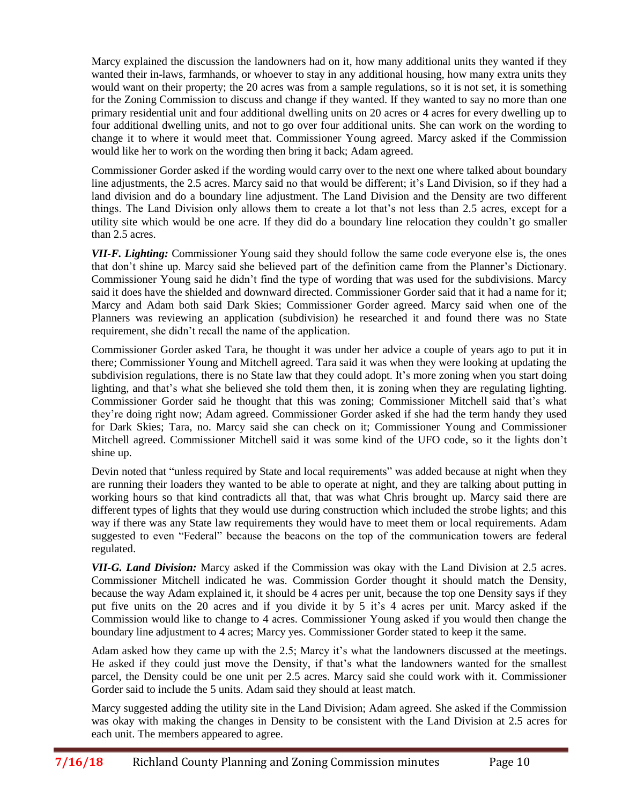Marcy explained the discussion the landowners had on it, how many additional units they wanted if they wanted their in-laws, farmhands, or whoever to stay in any additional housing, how many extra units they would want on their property; the 20 acres was from a sample regulations, so it is not set, it is something for the Zoning Commission to discuss and change if they wanted. If they wanted to say no more than one primary residential unit and four additional dwelling units on 20 acres or 4 acres for every dwelling up to four additional dwelling units, and not to go over four additional units. She can work on the wording to change it to where it would meet that. Commissioner Young agreed. Marcy asked if the Commission would like her to work on the wording then bring it back; Adam agreed.

Commissioner Gorder asked if the wording would carry over to the next one where talked about boundary line adjustments, the 2.5 acres. Marcy said no that would be different; it's Land Division, so if they had a land division and do a boundary line adjustment. The Land Division and the Density are two different things. The Land Division only allows them to create a lot that's not less than 2.5 acres, except for a utility site which would be one acre. If they did do a boundary line relocation they couldn't go smaller than 2.5 acres.

*VII-F. Lighting:* Commissioner Young said they should follow the same code everyone else is, the ones that don't shine up. Marcy said she believed part of the definition came from the Planner's Dictionary. Commissioner Young said he didn't find the type of wording that was used for the subdivisions. Marcy said it does have the shielded and downward directed. Commissioner Gorder said that it had a name for it; Marcy and Adam both said Dark Skies; Commissioner Gorder agreed. Marcy said when one of the Planners was reviewing an application (subdivision) he researched it and found there was no State requirement, she didn't recall the name of the application.

Commissioner Gorder asked Tara, he thought it was under her advice a couple of years ago to put it in there; Commissioner Young and Mitchell agreed. Tara said it was when they were looking at updating the subdivision regulations, there is no State law that they could adopt. It's more zoning when you start doing lighting, and that's what she believed she told them then, it is zoning when they are regulating lighting. Commissioner Gorder said he thought that this was zoning; Commissioner Mitchell said that's what they're doing right now; Adam agreed. Commissioner Gorder asked if she had the term handy they used for Dark Skies; Tara, no. Marcy said she can check on it; Commissioner Young and Commissioner Mitchell agreed. Commissioner Mitchell said it was some kind of the UFO code, so it the lights don't shine up.

Devin noted that "unless required by State and local requirements" was added because at night when they are running their loaders they wanted to be able to operate at night, and they are talking about putting in working hours so that kind contradicts all that, that was what Chris brought up. Marcy said there are different types of lights that they would use during construction which included the strobe lights; and this way if there was any State law requirements they would have to meet them or local requirements. Adam suggested to even "Federal" because the beacons on the top of the communication towers are federal regulated.

*VII-G. Land Division:* Marcy asked if the Commission was okay with the Land Division at 2.5 acres. Commissioner Mitchell indicated he was. Commission Gorder thought it should match the Density, because the way Adam explained it, it should be 4 acres per unit, because the top one Density says if they put five units on the 20 acres and if you divide it by 5 it's 4 acres per unit. Marcy asked if the Commission would like to change to 4 acres. Commissioner Young asked if you would then change the boundary line adjustment to 4 acres; Marcy yes. Commissioner Gorder stated to keep it the same.

Adam asked how they came up with the 2.5; Marcy it's what the landowners discussed at the meetings. He asked if they could just move the Density, if that's what the landowners wanted for the smallest parcel, the Density could be one unit per 2.5 acres. Marcy said she could work with it. Commissioner Gorder said to include the 5 units. Adam said they should at least match.

Marcy suggested adding the utility site in the Land Division; Adam agreed. She asked if the Commission was okay with making the changes in Density to be consistent with the Land Division at 2.5 acres for each unit. The members appeared to agree.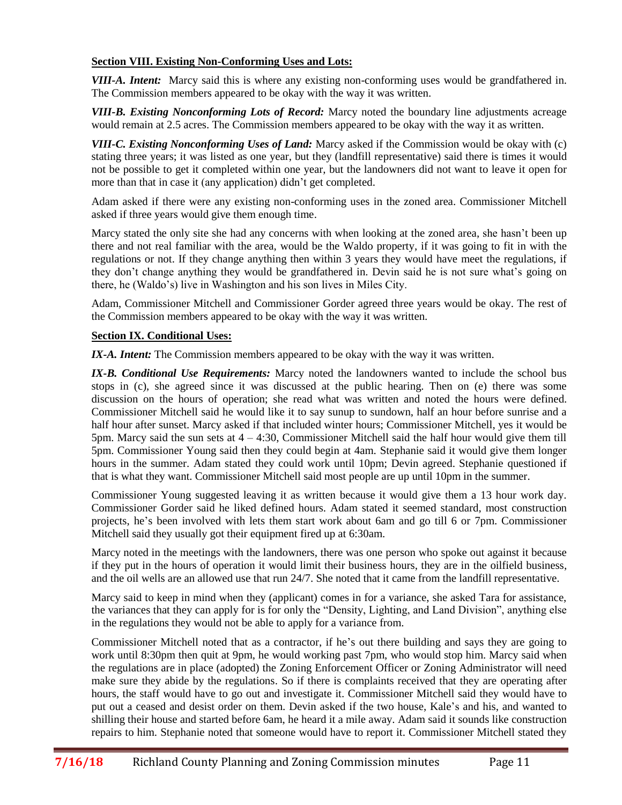# **Section VIII. Existing Non-Conforming Uses and Lots:**

*VIII-A. Intent:* Marcy said this is where any existing non-conforming uses would be grandfathered in. The Commission members appeared to be okay with the way it was written.

*VIII-B. Existing Nonconforming Lots of Record:* Marcy noted the boundary line adjustments acreage would remain at 2.5 acres. The Commission members appeared to be okay with the way it as written.

*VIII-C. Existing Nonconforming Uses of Land:* Marcy asked if the Commission would be okay with (c) stating three years; it was listed as one year, but they (landfill representative) said there is times it would not be possible to get it completed within one year, but the landowners did not want to leave it open for more than that in case it (any application) didn't get completed.

Adam asked if there were any existing non-conforming uses in the zoned area. Commissioner Mitchell asked if three years would give them enough time.

Marcy stated the only site she had any concerns with when looking at the zoned area, she hasn't been up there and not real familiar with the area, would be the Waldo property, if it was going to fit in with the regulations or not. If they change anything then within 3 years they would have meet the regulations, if they don't change anything they would be grandfathered in. Devin said he is not sure what's going on there, he (Waldo's) live in Washington and his son lives in Miles City.

Adam, Commissioner Mitchell and Commissioner Gorder agreed three years would be okay. The rest of the Commission members appeared to be okay with the way it was written.

#### **Section IX. Conditional Uses:**

*IX-A. Intent:* The Commission members appeared to be okay with the way it was written.

*IX-B. Conditional Use Requirements:* Marcy noted the landowners wanted to include the school bus stops in (c), she agreed since it was discussed at the public hearing. Then on (e) there was some discussion on the hours of operation; she read what was written and noted the hours were defined. Commissioner Mitchell said he would like it to say sunup to sundown, half an hour before sunrise and a half hour after sunset. Marcy asked if that included winter hours; Commissioner Mitchell, yes it would be 5pm. Marcy said the sun sets at 4 – 4:30, Commissioner Mitchell said the half hour would give them till 5pm. Commissioner Young said then they could begin at 4am. Stephanie said it would give them longer hours in the summer. Adam stated they could work until 10pm; Devin agreed. Stephanie questioned if that is what they want. Commissioner Mitchell said most people are up until 10pm in the summer.

Commissioner Young suggested leaving it as written because it would give them a 13 hour work day. Commissioner Gorder said he liked defined hours. Adam stated it seemed standard, most construction projects, he's been involved with lets them start work about 6am and go till 6 or 7pm. Commissioner Mitchell said they usually got their equipment fired up at 6:30am.

Marcy noted in the meetings with the landowners, there was one person who spoke out against it because if they put in the hours of operation it would limit their business hours, they are in the oilfield business, and the oil wells are an allowed use that run 24/7. She noted that it came from the landfill representative.

Marcy said to keep in mind when they (applicant) comes in for a variance, she asked Tara for assistance, the variances that they can apply for is for only the "Density, Lighting, and Land Division", anything else in the regulations they would not be able to apply for a variance from.

Commissioner Mitchell noted that as a contractor, if he's out there building and says they are going to work until 8:30pm then quit at 9pm, he would working past 7pm, who would stop him. Marcy said when the regulations are in place (adopted) the Zoning Enforcement Officer or Zoning Administrator will need make sure they abide by the regulations. So if there is complaints received that they are operating after hours, the staff would have to go out and investigate it. Commissioner Mitchell said they would have to put out a ceased and desist order on them. Devin asked if the two house, Kale's and his, and wanted to shilling their house and started before 6am, he heard it a mile away. Adam said it sounds like construction repairs to him. Stephanie noted that someone would have to report it. Commissioner Mitchell stated they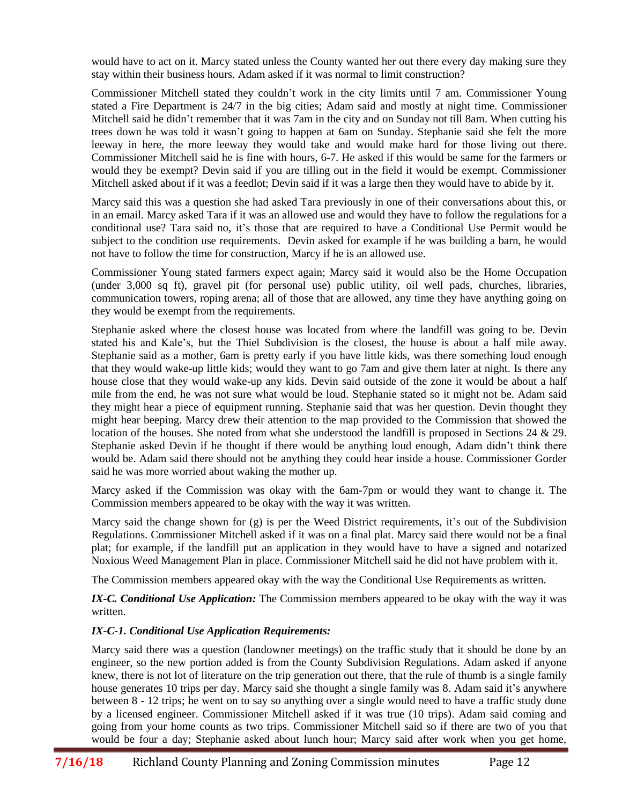would have to act on it. Marcy stated unless the County wanted her out there every day making sure they stay within their business hours. Adam asked if it was normal to limit construction?

Commissioner Mitchell stated they couldn't work in the city limits until 7 am. Commissioner Young stated a Fire Department is 24/7 in the big cities; Adam said and mostly at night time. Commissioner Mitchell said he didn't remember that it was 7am in the city and on Sunday not till 8am. When cutting his trees down he was told it wasn't going to happen at 6am on Sunday. Stephanie said she felt the more leeway in here, the more leeway they would take and would make hard for those living out there. Commissioner Mitchell said he is fine with hours, 6-7. He asked if this would be same for the farmers or would they be exempt? Devin said if you are tilling out in the field it would be exempt. Commissioner Mitchell asked about if it was a feedlot; Devin said if it was a large then they would have to abide by it.

Marcy said this was a question she had asked Tara previously in one of their conversations about this, or in an email. Marcy asked Tara if it was an allowed use and would they have to follow the regulations for a conditional use? Tara said no, it's those that are required to have a Conditional Use Permit would be subject to the condition use requirements. Devin asked for example if he was building a barn, he would not have to follow the time for construction, Marcy if he is an allowed use.

Commissioner Young stated farmers expect again; Marcy said it would also be the Home Occupation (under 3,000 sq ft), gravel pit (for personal use) public utility, oil well pads, churches, libraries, communication towers, roping arena; all of those that are allowed, any time they have anything going on they would be exempt from the requirements.

Stephanie asked where the closest house was located from where the landfill was going to be. Devin stated his and Kale's, but the Thiel Subdivision is the closest, the house is about a half mile away. Stephanie said as a mother, 6am is pretty early if you have little kids, was there something loud enough that they would wake-up little kids; would they want to go 7am and give them later at night. Is there any house close that they would wake-up any kids. Devin said outside of the zone it would be about a half mile from the end, he was not sure what would be loud. Stephanie stated so it might not be. Adam said they might hear a piece of equipment running. Stephanie said that was her question. Devin thought they might hear beeping. Marcy drew their attention to the map provided to the Commission that showed the location of the houses. She noted from what she understood the landfill is proposed in Sections 24 & 29. Stephanie asked Devin if he thought if there would be anything loud enough, Adam didn't think there would be. Adam said there should not be anything they could hear inside a house. Commissioner Gorder said he was more worried about waking the mother up.

Marcy asked if the Commission was okay with the 6am-7pm or would they want to change it. The Commission members appeared to be okay with the way it was written.

Marcy said the change shown for (g) is per the Weed District requirements, it's out of the Subdivision Regulations. Commissioner Mitchell asked if it was on a final plat. Marcy said there would not be a final plat; for example, if the landfill put an application in they would have to have a signed and notarized Noxious Weed Management Plan in place. Commissioner Mitchell said he did not have problem with it.

The Commission members appeared okay with the way the Conditional Use Requirements as written.

*IX-C. Conditional Use Application:* The Commission members appeared to be okay with the way it was written.

# *IX-C-1. Conditional Use Application Requirements:*

Marcy said there was a question (landowner meetings) on the traffic study that it should be done by an engineer, so the new portion added is from the County Subdivision Regulations. Adam asked if anyone knew, there is not lot of literature on the trip generation out there, that the rule of thumb is a single family house generates 10 trips per day. Marcy said she thought a single family was 8. Adam said it's anywhere between 8 - 12 trips; he went on to say so anything over a single would need to have a traffic study done by a licensed engineer. Commissioner Mitchell asked if it was true (10 trips). Adam said coming and going from your home counts as two trips. Commissioner Mitchell said so if there are two of you that would be four a day; Stephanie asked about lunch hour; Marcy said after work when you get home,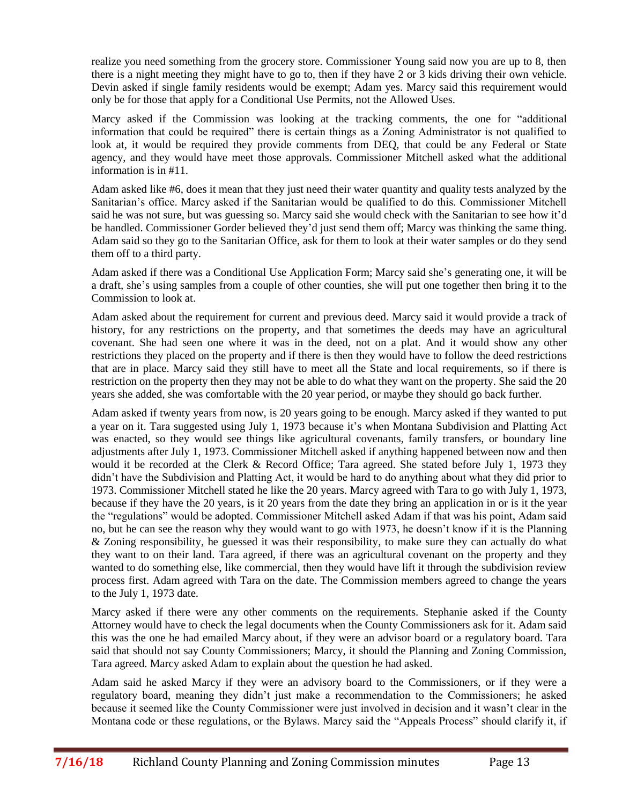realize you need something from the grocery store. Commissioner Young said now you are up to 8, then there is a night meeting they might have to go to, then if they have 2 or 3 kids driving their own vehicle. Devin asked if single family residents would be exempt; Adam yes. Marcy said this requirement would only be for those that apply for a Conditional Use Permits, not the Allowed Uses.

Marcy asked if the Commission was looking at the tracking comments, the one for "additional information that could be required" there is certain things as a Zoning Administrator is not qualified to look at, it would be required they provide comments from DEQ, that could be any Federal or State agency, and they would have meet those approvals. Commissioner Mitchell asked what the additional information is in #11.

Adam asked like #6, does it mean that they just need their water quantity and quality tests analyzed by the Sanitarian's office. Marcy asked if the Sanitarian would be qualified to do this. Commissioner Mitchell said he was not sure, but was guessing so. Marcy said she would check with the Sanitarian to see how it'd be handled. Commissioner Gorder believed they'd just send them off; Marcy was thinking the same thing. Adam said so they go to the Sanitarian Office, ask for them to look at their water samples or do they send them off to a third party.

Adam asked if there was a Conditional Use Application Form; Marcy said she's generating one, it will be a draft, she's using samples from a couple of other counties, she will put one together then bring it to the Commission to look at.

Adam asked about the requirement for current and previous deed. Marcy said it would provide a track of history, for any restrictions on the property, and that sometimes the deeds may have an agricultural covenant. She had seen one where it was in the deed, not on a plat. And it would show any other restrictions they placed on the property and if there is then they would have to follow the deed restrictions that are in place. Marcy said they still have to meet all the State and local requirements, so if there is restriction on the property then they may not be able to do what they want on the property. She said the 20 years she added, she was comfortable with the 20 year period, or maybe they should go back further.

Adam asked if twenty years from now, is 20 years going to be enough. Marcy asked if they wanted to put a year on it. Tara suggested using July 1, 1973 because it's when Montana Subdivision and Platting Act was enacted, so they would see things like agricultural covenants, family transfers, or boundary line adjustments after July 1, 1973. Commissioner Mitchell asked if anything happened between now and then would it be recorded at the Clerk & Record Office; Tara agreed. She stated before July 1, 1973 they didn't have the Subdivision and Platting Act, it would be hard to do anything about what they did prior to 1973. Commissioner Mitchell stated he like the 20 years. Marcy agreed with Tara to go with July 1, 1973, because if they have the 20 years, is it 20 years from the date they bring an application in or is it the year the "regulations" would be adopted. Commissioner Mitchell asked Adam if that was his point, Adam said no, but he can see the reason why they would want to go with 1973, he doesn't know if it is the Planning & Zoning responsibility, he guessed it was their responsibility, to make sure they can actually do what they want to on their land. Tara agreed, if there was an agricultural covenant on the property and they wanted to do something else, like commercial, then they would have lift it through the subdivision review process first. Adam agreed with Tara on the date. The Commission members agreed to change the years to the July 1, 1973 date.

Marcy asked if there were any other comments on the requirements. Stephanie asked if the County Attorney would have to check the legal documents when the County Commissioners ask for it. Adam said this was the one he had emailed Marcy about, if they were an advisor board or a regulatory board. Tara said that should not say County Commissioners; Marcy, it should the Planning and Zoning Commission, Tara agreed. Marcy asked Adam to explain about the question he had asked.

Adam said he asked Marcy if they were an advisory board to the Commissioners, or if they were a regulatory board, meaning they didn't just make a recommendation to the Commissioners; he asked because it seemed like the County Commissioner were just involved in decision and it wasn't clear in the Montana code or these regulations, or the Bylaws. Marcy said the "Appeals Process" should clarify it, if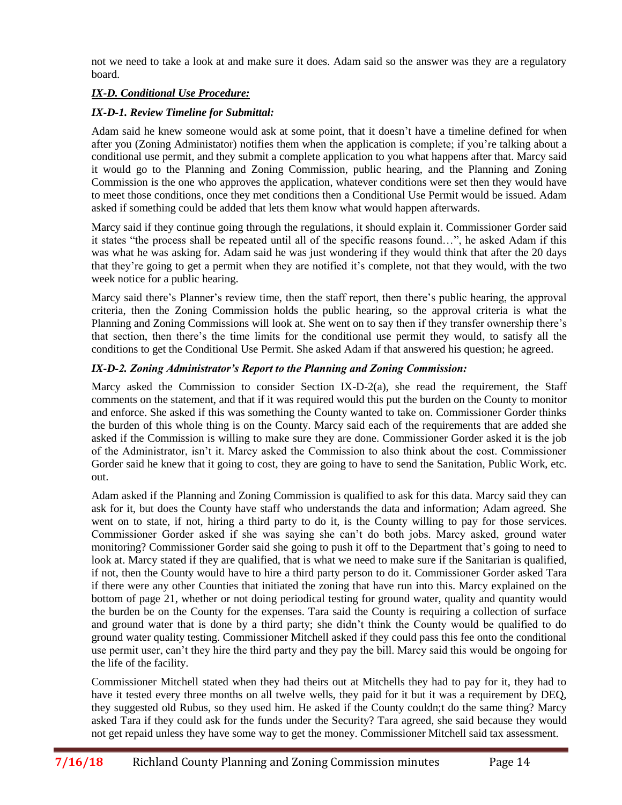not we need to take a look at and make sure it does. Adam said so the answer was they are a regulatory board.

# *IX-D. Conditional Use Procedure:*

# *IX-D-1. Review Timeline for Submittal:*

Adam said he knew someone would ask at some point, that it doesn't have a timeline defined for when after you (Zoning Administator) notifies them when the application is complete; if you're talking about a conditional use permit, and they submit a complete application to you what happens after that. Marcy said it would go to the Planning and Zoning Commission, public hearing, and the Planning and Zoning Commission is the one who approves the application, whatever conditions were set then they would have to meet those conditions, once they met conditions then a Conditional Use Permit would be issued. Adam asked if something could be added that lets them know what would happen afterwards.

Marcy said if they continue going through the regulations, it should explain it. Commissioner Gorder said it states "the process shall be repeated until all of the specific reasons found…", he asked Adam if this was what he was asking for. Adam said he was just wondering if they would think that after the 20 days that they're going to get a permit when they are notified it's complete, not that they would, with the two week notice for a public hearing.

Marcy said there's Planner's review time, then the staff report, then there's public hearing, the approval criteria, then the Zoning Commission holds the public hearing, so the approval criteria is what the Planning and Zoning Commissions will look at. She went on to say then if they transfer ownership there's that section, then there's the time limits for the conditional use permit they would, to satisfy all the conditions to get the Conditional Use Permit. She asked Adam if that answered his question; he agreed.

# *IX-D-2. Zoning Administrator's Report to the Planning and Zoning Commission:*

Marcy asked the Commission to consider Section IX-D-2(a), she read the requirement, the Staff comments on the statement, and that if it was required would this put the burden on the County to monitor and enforce. She asked if this was something the County wanted to take on. Commissioner Gorder thinks the burden of this whole thing is on the County. Marcy said each of the requirements that are added she asked if the Commission is willing to make sure they are done. Commissioner Gorder asked it is the job of the Administrator, isn't it. Marcy asked the Commission to also think about the cost. Commissioner Gorder said he knew that it going to cost, they are going to have to send the Sanitation, Public Work, etc. out.

Adam asked if the Planning and Zoning Commission is qualified to ask for this data. Marcy said they can ask for it, but does the County have staff who understands the data and information; Adam agreed. She went on to state, if not, hiring a third party to do it, is the County willing to pay for those services. Commissioner Gorder asked if she was saying she can't do both jobs. Marcy asked, ground water monitoring? Commissioner Gorder said she going to push it off to the Department that's going to need to look at. Marcy stated if they are qualified, that is what we need to make sure if the Sanitarian is qualified, if not, then the County would have to hire a third party person to do it. Commissioner Gorder asked Tara if there were any other Counties that initiated the zoning that have run into this. Marcy explained on the bottom of page 21, whether or not doing periodical testing for ground water, quality and quantity would the burden be on the County for the expenses. Tara said the County is requiring a collection of surface and ground water that is done by a third party; she didn't think the County would be qualified to do ground water quality testing. Commissioner Mitchell asked if they could pass this fee onto the conditional use permit user, can't they hire the third party and they pay the bill. Marcy said this would be ongoing for the life of the facility.

Commissioner Mitchell stated when they had theirs out at Mitchells they had to pay for it, they had to have it tested every three months on all twelve wells, they paid for it but it was a requirement by DEO, they suggested old Rubus, so they used him. He asked if the County couldn;t do the same thing? Marcy asked Tara if they could ask for the funds under the Security? Tara agreed, she said because they would not get repaid unless they have some way to get the money. Commissioner Mitchell said tax assessment.